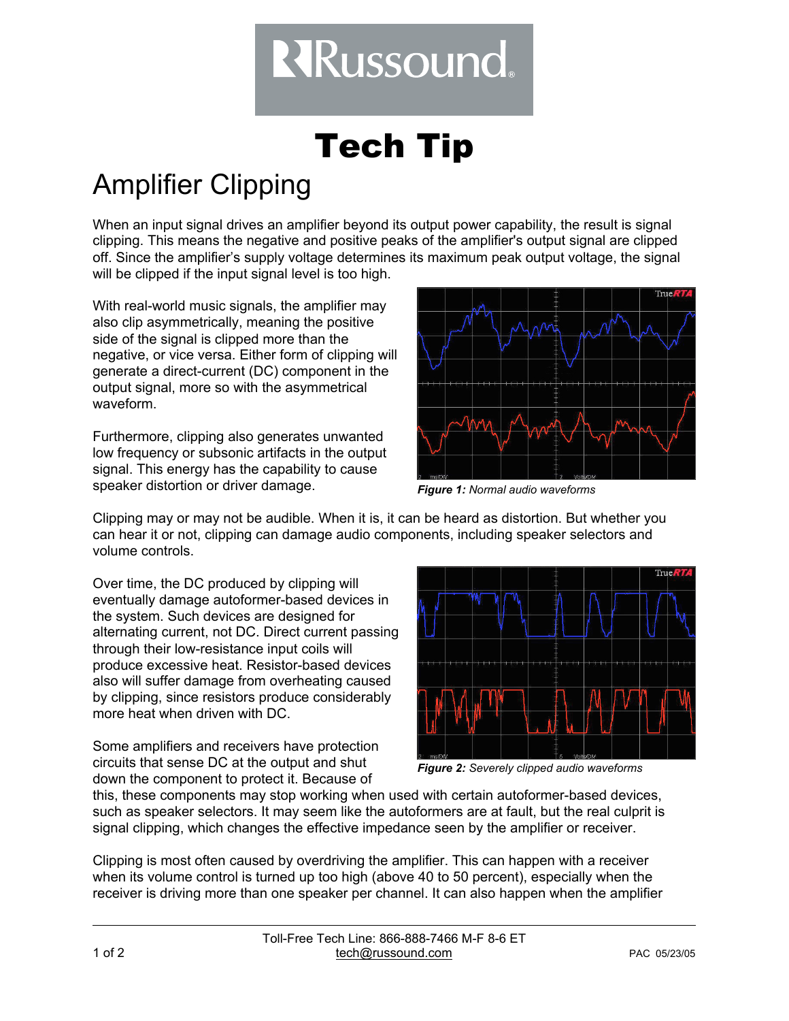## **RRussound.**

## Tech Tip

## Amplifier Clipping

When an input signal drives an amplifier beyond its output power capability, the result is signal clipping. This means the negative and positive peaks of the amplifier's output signal are clipped off. Since the amplifier's supply voltage determines its maximum peak output voltage, the signal will be clipped if the input signal level is too high.

With real-world music signals, the amplifier may also clip asymmetrically, meaning the positive side of the signal is clipped more than the negative, or vice versa. Either form of clipping will generate a direct-current (DC) component in the output signal, more so with the asymmetrical waveform.

Furthermore, clipping also generates unwanted low frequency or subsonic artifacts in the output signal. This energy has the capability to cause speaker distortion or driver damage.



*Figure 1: Normal audio waveforms*

Clipping may or may not be audible. When it is, it can be heard as distortion. But whether you can hear it or not, clipping can damage audio components, including speaker selectors and volume controls.

Over time, the DC produced by clipping will eventually damage autoformer-based devices in the system. Such devices are designed for alternating current, not DC. Direct current passing through their low-resistance input coils will produce excessive heat. Resistor-based devices also will suffer damage from overheating caused by clipping, since resistors produce considerably more heat when driven with DC.

Some amplifiers and receivers have protection circuits that sense DC at the output and shut down the component to protect it. Because of



*Figure 2: Severely clipped audio waveforms*

this, these components may stop working when used with certain autoformer-based devices, such as speaker selectors. It may seem like the autoformers are at fault, but the real culprit is signal clipping, which changes the effective impedance seen by the amplifier or receiver.

Clipping is most often caused by overdriving the amplifier. This can happen with a receiver when its volume control is turned up too high (above 40 to 50 percent), especially when the receiver is driving more than one speaker per channel. It can also happen when the amplifier